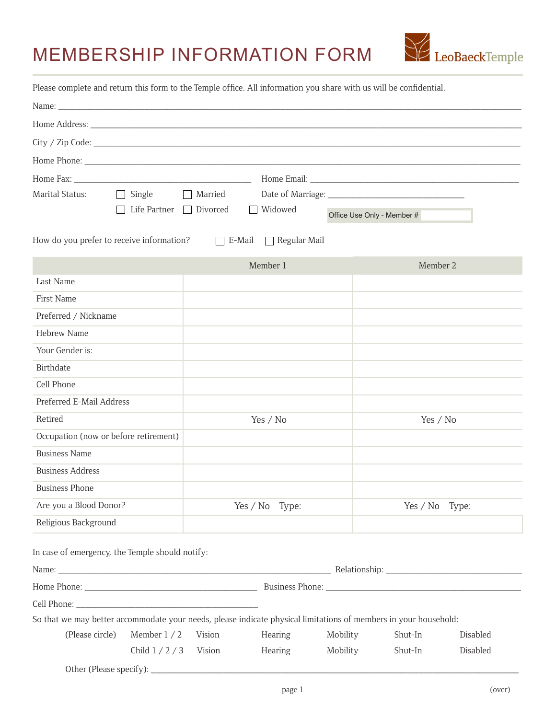# MEMBERSHIP INFORMATION FORM



Please complete and return this form to the Temple office. All information you share with us will be confidential.

| Name:                                           |                                   |                   |                                                                                                                  |                            |            |          |
|-------------------------------------------------|-----------------------------------|-------------------|------------------------------------------------------------------------------------------------------------------|----------------------------|------------|----------|
|                                                 |                                   |                   |                                                                                                                  |                            |            |          |
|                                                 |                                   |                   |                                                                                                                  |                            |            |          |
|                                                 |                                   |                   |                                                                                                                  |                            |            |          |
|                                                 |                                   |                   |                                                                                                                  |                            |            |          |
| Marital Status:                                 | Single                            | Married           |                                                                                                                  |                            |            |          |
|                                                 | Life Partner $\Box$               | Divorced          | Widowed<br>$\Box$                                                                                                | Office Use Only - Member # |            |          |
| How do you prefer to receive information?       |                                   | $\Box$ E-Mail     | $\Box$ Regular Mail                                                                                              |                            |            |          |
|                                                 |                                   |                   | Member 1                                                                                                         |                            | Member 2   |          |
| Last Name                                       |                                   |                   |                                                                                                                  |                            |            |          |
| First Name                                      |                                   |                   |                                                                                                                  |                            |            |          |
| Preferred / Nickname                            |                                   |                   |                                                                                                                  |                            |            |          |
| Hebrew Name                                     |                                   |                   |                                                                                                                  |                            |            |          |
| Your Gender is:                                 |                                   |                   |                                                                                                                  |                            |            |          |
| Birthdate                                       |                                   |                   |                                                                                                                  |                            |            |          |
| Cell Phone                                      |                                   |                   |                                                                                                                  |                            |            |          |
| Preferred E-Mail Address                        |                                   |                   |                                                                                                                  |                            |            |          |
| Retired                                         |                                   |                   | Yes / No                                                                                                         |                            | Yes $/$ No |          |
| Occupation (now or before retirement)           |                                   |                   |                                                                                                                  |                            |            |          |
| <b>Business Name</b>                            |                                   |                   |                                                                                                                  |                            |            |          |
| <b>Business Address</b>                         |                                   |                   |                                                                                                                  |                            |            |          |
| <b>Business Phone</b>                           |                                   |                   |                                                                                                                  |                            |            |          |
| Are you a Blood Donor?                          |                                   | Yes / No<br>Type: |                                                                                                                  |                            | Yes / No   | Type:    |
| Religious Background                            |                                   |                   |                                                                                                                  |                            |            |          |
| In case of emergency, the Temple should notify: |                                   |                   |                                                                                                                  |                            |            |          |
|                                                 |                                   |                   |                                                                                                                  |                            |            |          |
|                                                 |                                   |                   |                                                                                                                  |                            |            |          |
|                                                 |                                   |                   |                                                                                                                  |                            |            |          |
|                                                 |                                   |                   | So that we may better accommodate your needs, please indicate physical limitations of members in your household: |                            |            |          |
| (Please circle)                                 | Member $1/2$                      | Vision            | Hearing                                                                                                          | Mobility                   | Shut-In    | Disabled |
|                                                 | Child $1/2/3$                     | Vision            | Hearing                                                                                                          | Mobility                   | Shut-In    | Disabled |
|                                                 | Other (Please specify): _________ |                   |                                                                                                                  |                            |            |          |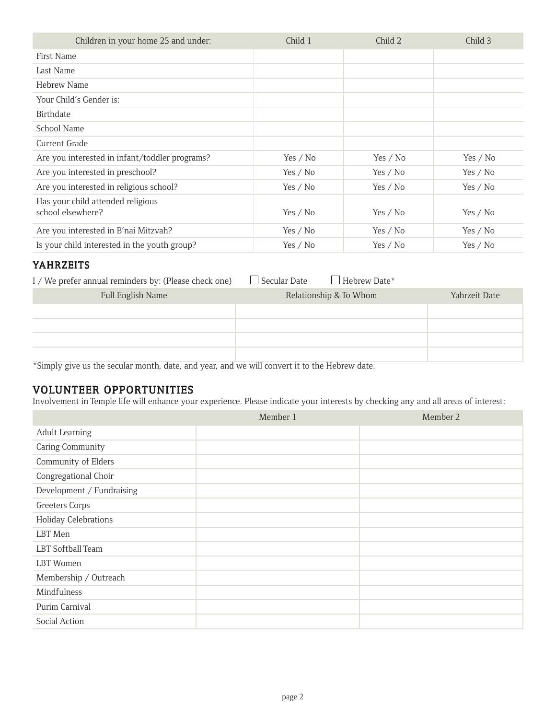| Children in your home 25 and under:                    | Child 1    | Child 2    | Child 3    |
|--------------------------------------------------------|------------|------------|------------|
| First Name                                             |            |            |            |
| Last Name                                              |            |            |            |
| Hebrew Name                                            |            |            |            |
| Your Child's Gender is:                                |            |            |            |
| Birthdate                                              |            |            |            |
| School Name                                            |            |            |            |
| Current Grade                                          |            |            |            |
| Are you interested in infant/toddler programs?         | Yes / $No$ | Yes / $No$ | Yes / $No$ |
| Are you interested in preschool?                       | Yes / $No$ | Yes / No   | Yes / No   |
| Are you interested in religious school?                | Yes / $No$ | Yes / $No$ | Yes / $No$ |
| Has your child attended religious<br>school elsewhere? | Yes / $No$ | Yes / $No$ | Yes / $No$ |
| Are you interested in B'nai Mitzvah?                   | Yes / $No$ | Yes / No   | Yes / No   |
| Is your child interested in the youth group?           | Yes $/$ No | Yes / No   | Yes $/$ No |

#### YAHRZEITS

| I / We prefer annual reminders by: (Please check one) | $\Box$ Secular Date<br>$\Box$ Hebrew Date* |               |
|-------------------------------------------------------|--------------------------------------------|---------------|
| Full English Name                                     | Relationship & To Whom                     | Yahrzeit Date |
|                                                       |                                            |               |
|                                                       |                                            |               |
|                                                       |                                            |               |
|                                                       | ---<br>_______                             |               |

\*Simply give us the secular month, date, and year, and we will convert it to the Hebrew date.

#### VOLUNTEER OPPORTUNITIES

Involvement in Temple life will enhance your experience. Please indicate your interests by checking any and all areas of interest:

|                             | Member 1 | Member 2 |
|-----------------------------|----------|----------|
| <b>Adult Learning</b>       |          |          |
| Caring Community            |          |          |
| Community of Elders         |          |          |
| Congregational Choir        |          |          |
| Development / Fundraising   |          |          |
| Greeters Corps              |          |          |
| <b>Holiday Celebrations</b> |          |          |
| LBT Men                     |          |          |
| LBT Softball Team           |          |          |
| LBT Women                   |          |          |
| Membership / Outreach       |          |          |
| Mindfulness                 |          |          |
| Purim Carnival              |          |          |
| Social Action               |          |          |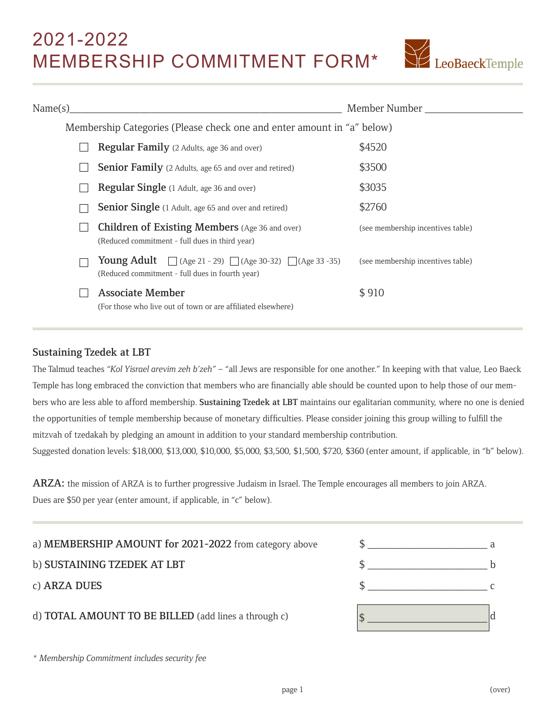### 2021-2022 MEMBERSHIP COMMITMENT FORM\*



| Name(s) |                                                                                                                                   | Member Number                     |
|---------|-----------------------------------------------------------------------------------------------------------------------------------|-----------------------------------|
|         | Membership Categories (Please check one and enter amount in "a" below)                                                            |                                   |
|         | Regular Family (2 Adults, age 36 and over)                                                                                        | \$4520                            |
|         | <b>Senior Family</b> (2 Adults, age 65 and over and retired)                                                                      | \$3500                            |
|         | Regular Single (1 Adult, age 36 and over)                                                                                         | \$3035                            |
|         | <b>Senior Single</b> (1 Adult, age 65 and over and retired)                                                                       | \$2760                            |
|         | <b>Children of Existing Members</b> (Age 36 and over)<br>(Reduced commitment - full dues in third year)                           | (see membership incentives table) |
|         | <b>Young Adult</b> $\[\]$ (Age 21 - 29) $\[\]$ (Age 30-32) $\[\]$ (Age 33 -35)<br>(Reduced commitment - full dues in fourth year) | (see membership incentives table) |
|         | <b>Associate Member</b><br>(For those who live out of town or are affiliated elsewhere)                                           | \$910                             |

#### Sustaining Tzedek at LBT

The Talmud teaches *"Kol Yisrael arevim zeh b'zeh"* – "all Jews are responsible for one another." In keeping with that value, Leo Baeck Temple has long embraced the conviction that members who are financially able should be counted upon to help those of our members who are less able to afford membership. Sustaining Tzedek at LBT maintains our egalitarian community, where no one is denied the opportunities of temple membership because of monetary difficulties. Please consider joining this group willing to fulfill the mitzvah of tzedakah by pledging an amount in addition to your standard membership contribution. Suggested donation levels: \$18,000, \$13,000, \$10,000, \$5,000, \$3,500, \$1,500, \$720, \$360 (enter amount, if applicable, in "b" below).

ARZA: the mission of ARZA is to further progressive Judaism in Israel. The Temple encourages all members to join ARZA. Dues are \$50 per year (enter amount, if applicable, in "c" below).

a) **MEMBERSHIP AMOUNT for 2021-2022** from category above  $\frac{1}{2}$ 

d) **TOTAL AMOUNT TO BE BILLED** (add lines a through c)  $\left| \mathbf{s} \right|$ 



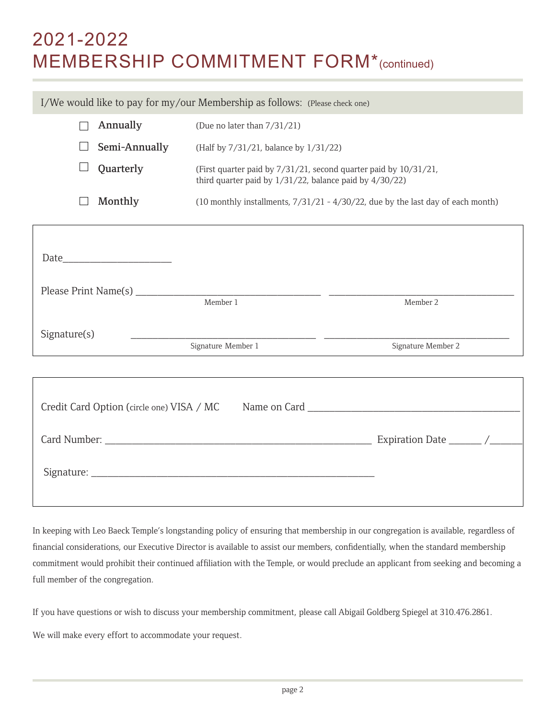## 2021-2022 MEMBERSHIP COMMITMENT FORM\*(continued)

 $\Box$  **Annually** (Due no later than  $7/31/21$ )  $\Box$  **Semi-Annually** (Half by 7/31/21, balance by 1/31/22) **Quarterly** (First quarter paid by  $7/31/21$ , second quarter paid by  $10/31/21$ , third quarter paid by 1/31/22, balance paid by 4/30/22) **Monthly** (10 monthly installments,  $7/31/21 - 4/30/22$ , due by the last day of each month) I/We would like to pay for my/our Membership as follows: (Please check one) Γ Date\_\_\_\_\_\_\_\_\_\_\_\_\_\_\_\_\_\_\_\_ Please Print Name(s) \_\_\_\_\_\_\_\_\_\_\_\_\_\_\_\_\_\_\_\_\_\_\_\_\_\_\_\_\_\_\_\_\_\_ \_\_\_\_\_\_\_\_\_\_\_\_\_\_\_\_\_\_\_\_\_\_\_\_\_\_\_\_\_\_\_\_\_\_ Member 1 Member 2  $Signature(s)$ Signature Member 1 Signature Member 2 Credit Card Option (circle one) VISA / MC Name on Card \_

 Card Number: \_\_\_\_\_\_\_\_\_\_\_\_\_\_\_\_\_\_\_\_\_\_\_\_\_\_\_\_\_\_\_\_\_\_\_\_\_\_\_\_\_\_\_\_\_\_\_\_\_ Expiration Date \_\_\_\_\_\_ /\_\_\_\_\_\_ Signature: \_\_\_\_\_\_\_\_\_\_\_\_\_\_\_\_\_\_\_\_\_\_\_\_\_\_\_\_\_\_\_\_\_\_\_\_\_\_\_\_\_\_\_\_\_\_\_\_\_\_\_\_

In keeping with Leo Baeck Temple's longstanding policy of ensuring that membership in our congregation is available, regardless of financial considerations, our Executive Director is available to assist our members, confidentially, when the standard membership commitment would prohibit their continued affiliation with the Temple, or would preclude an applicant from seeking and becoming a full member of the congregation.

If you have questions or wish to discuss your membership commitment, please call Abigail Goldberg Spiegel at 310.476.2861.

We will make every effort to accommodate your request.